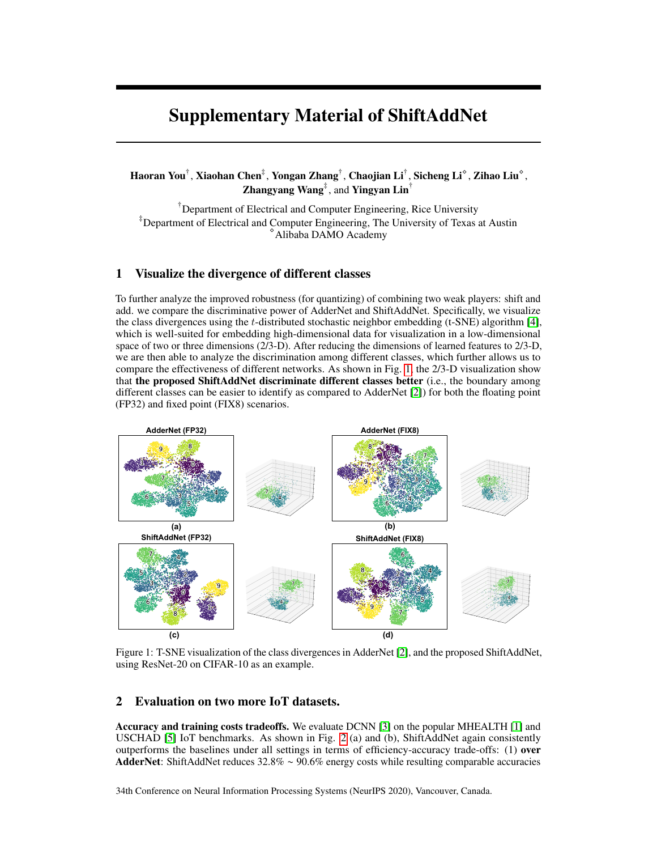## Supplementary Material of ShiftAddNet

Haoran You $^\dagger$ , Xiaohan Chen $^\ddagger$ , Yongan Zhang $^\dagger$ , Chaojian Li $^\dagger$ , Sicheng Li $^\circ$ , Zihao Liu $^\circ$ , **Zhangyang Wang**<sup>‡</sup>, and **Yingyan Lin**<sup>†</sup>

<sup>†</sup>Department of Electrical and Computer Engineering, Rice University ‡Department of Electrical and Computer Engineering, The University of Texas at Austin <sup>⋄</sup>Alibaba DAMO Academy

## 1 Visualize the divergence of different classes

To further analyze the improved robustness (for quantizing) of combining two weak players: shift and add. we compare the discriminative power of AdderNet and ShiftAddNet. Specifically, we visualize the class divergences using the t-distributed stochastic neighbor embedding (t-SNE) algorithm [\[4\]](#page-1-0), which is well-suited for embedding high-dimensional data for visualization in a low-dimensional space of two or three dimensions (2/3-D). After reducing the dimensions of learned features to 2/3-D, we are then able to analyze the discrimination among different classes, which further allows us to compare the effectiveness of different networks. As shown in Fig. [1,](#page-0-0) the 2/3-D visualization show that the proposed ShiftAddNet discriminate different classes better (i.e., the boundary among different classes can be easier to identify as compared to AdderNet [\[2\]](#page-1-1)) for both the floating point (FP32) and fixed point (FIX8) scenarios.

<span id="page-0-0"></span>

Figure 1: T-SNE visualization of the class divergences in AdderNet [\[2\]](#page-1-1), and the proposed ShiftAddNet, using ResNet-20 on CIFAR-10 as an example.

## 2 Evaluation on two more IoT datasets.

Accuracy and training costs tradeoffs. We evaluate DCNN [\[3\]](#page-1-2) on the popular MHEALTH [\[1\]](#page-1-3) and USCHAD [\[5\]](#page-1-4) IoT benchmarks. As shown in Fig. [2](#page-1-5) (a) and (b), ShiftAddNet again consistently outperforms the baselines under all settings in terms of efficiency-accuracy trade-offs: (1) over AdderNet: ShiftAddNet reduces 32.8% ∼ 90.6% energy costs while resulting comparable accuracies

34th Conference on Neural Information Processing Systems (NeurIPS 2020), Vancouver, Canada.